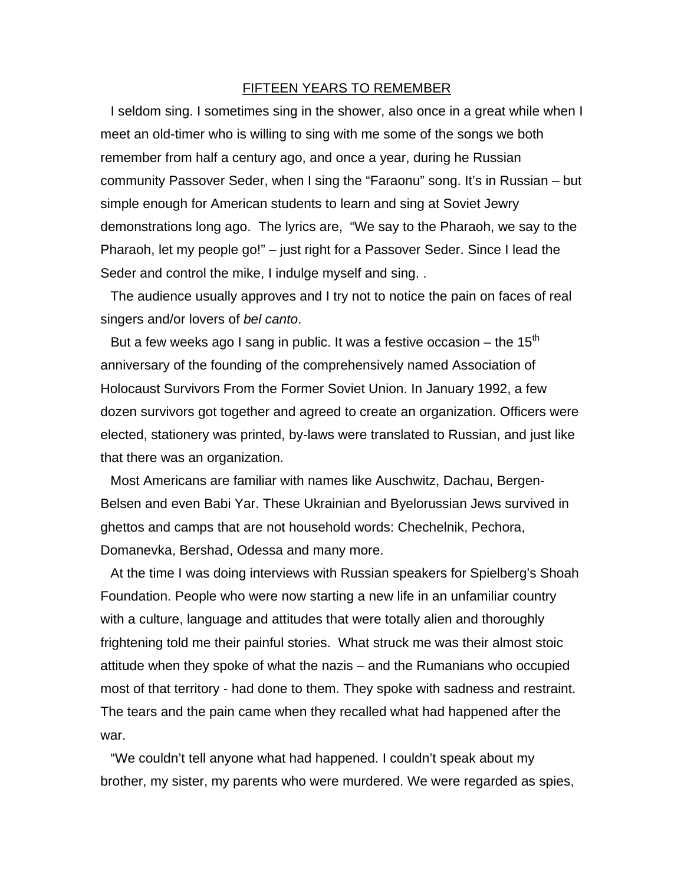## FIFTEEN YEARS TO REMEMBER

I seldom sing. I sometimes sing in the shower, also once in a great while when I meet an old-timer who is willing to sing with me some of the songs we both remember from half a century ago, and once a year, during he Russian community Passover Seder, when I sing the "Faraonu" song. It's in Russian – but simple enough for American students to learn and sing at Soviet Jewry demonstrations long ago. The lyrics are, "We say to the Pharaoh, we say to the Pharaoh, let my people go!" – just right for a Passover Seder. Since I lead the Seder and control the mike, I indulge myself and sing. .

The audience usually approves and I try not to notice the pain on faces of real singers and/or lovers of *bel canto*.

But a few weeks ago I sang in public. It was a festive occasion – the 15<sup>th</sup> anniversary of the founding of the comprehensively named Association of Holocaust Survivors From the Former Soviet Union. In January 1992, a few dozen survivors got together and agreed to create an organization. Officers were elected, stationery was printed, by-laws were translated to Russian, and just like that there was an organization.

Most Americans are familiar with names like Auschwitz, Dachau, Bergen-Belsen and even Babi Yar. These Ukrainian and Byelorussian Jews survived in ghettos and camps that are not household words: Chechelnik, Pechora, Domanevka, Bershad, Odessa and many more.

At the time I was doing interviews with Russian speakers for Spielberg's Shoah Foundation. People who were now starting a new life in an unfamiliar country with a culture, language and attitudes that were totally alien and thoroughly frightening told me their painful stories. What struck me was their almost stoic attitude when they spoke of what the nazis – and the Rumanians who occupied most of that territory - had done to them. They spoke with sadness and restraint. The tears and the pain came when they recalled what had happened after the war.

"We couldn't tell anyone what had happened. I couldn't speak about my brother, my sister, my parents who were murdered. We were regarded as spies,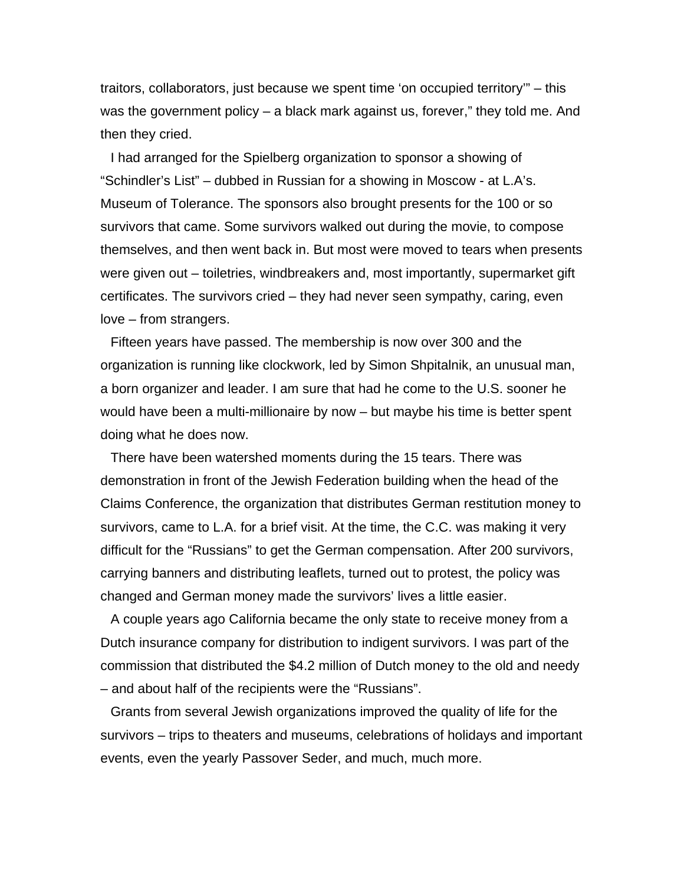traitors, collaborators, just because we spent time 'on occupied territory'" – this was the government policy – a black mark against us, forever," they told me. And then they cried.

I had arranged for the Spielberg organization to sponsor a showing of "Schindler's List" – dubbed in Russian for a showing in Moscow - at L.A's. Museum of Tolerance. The sponsors also brought presents for the 100 or so survivors that came. Some survivors walked out during the movie, to compose themselves, and then went back in. But most were moved to tears when presents were given out – toiletries, windbreakers and, most importantly, supermarket gift certificates. The survivors cried – they had never seen sympathy, caring, even love – from strangers.

Fifteen years have passed. The membership is now over 300 and the organization is running like clockwork, led by Simon Shpitalnik, an unusual man, a born organizer and leader. I am sure that had he come to the U.S. sooner he would have been a multi-millionaire by now – but maybe his time is better spent doing what he does now.

There have been watershed moments during the 15 tears. There was demonstration in front of the Jewish Federation building when the head of the Claims Conference, the organization that distributes German restitution money to survivors, came to L.A. for a brief visit. At the time, the C.C. was making it very difficult for the "Russians" to get the German compensation. After 200 survivors, carrying banners and distributing leaflets, turned out to protest, the policy was changed and German money made the survivors' lives a little easier.

A couple years ago California became the only state to receive money from a Dutch insurance company for distribution to indigent survivors. I was part of the commission that distributed the \$4.2 million of Dutch money to the old and needy – and about half of the recipients were the "Russians".

Grants from several Jewish organizations improved the quality of life for the survivors – trips to theaters and museums, celebrations of holidays and important events, even the yearly Passover Seder, and much, much more.